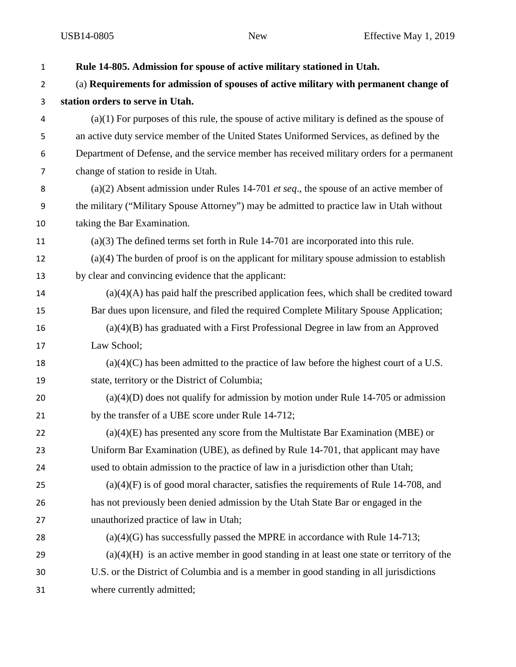| $\mathbf{1}$ | Rule 14-805. Admission for spouse of active military stationed in Utah.                       |
|--------------|-----------------------------------------------------------------------------------------------|
| 2            | (a) Requirements for admission of spouses of active military with permanent change of         |
| 3            | station orders to serve in Utah.                                                              |
| 4            | $(a)(1)$ For purposes of this rule, the spouse of active military is defined as the spouse of |
| 5            | an active duty service member of the United States Uniformed Services, as defined by the      |
| 6            | Department of Defense, and the service member has received military orders for a permanent    |
| 7            | change of station to reside in Utah.                                                          |
| 8            | (a)(2) Absent admission under Rules 14-701 et seq., the spouse of an active member of         |
| 9            | the military ("Military Spouse Attorney") may be admitted to practice law in Utah without     |
| 10           | taking the Bar Examination.                                                                   |
| 11           | $(a)(3)$ The defined terms set forth in Rule 14-701 are incorporated into this rule.          |
| 12           | $(a)(4)$ The burden of proof is on the applicant for military spouse admission to establish   |
| 13           | by clear and convincing evidence that the applicant:                                          |
| 14           | $(a)(4)(A)$ has paid half the prescribed application fees, which shall be credited toward     |
| 15           | Bar dues upon licensure, and filed the required Complete Military Spouse Application;         |
| 16           | $(a)(4)(B)$ has graduated with a First Professional Degree in law from an Approved            |
| 17           | Law School;                                                                                   |
| 18           | $(a)(4)(C)$ has been admitted to the practice of law before the highest court of a U.S.       |
| 19           | state, territory or the District of Columbia;                                                 |
| 20           | $(a)(4)(D)$ does not qualify for admission by motion under Rule 14-705 or admission           |
| 21           | by the transfer of a UBE score under Rule 14-712;                                             |
| 22           | $(a)(4)(E)$ has presented any score from the Multistate Bar Examination (MBE) or              |
| 23           | Uniform Bar Examination (UBE), as defined by Rule 14-701, that applicant may have             |
| 24           | used to obtain admission to the practice of law in a jurisdiction other than Utah;            |
| 25           | $(a)(4)(F)$ is of good moral character, satisfies the requirements of Rule 14-708, and        |
| 26           | has not previously been denied admission by the Utah State Bar or engaged in the              |
| 27           | unauthorized practice of law in Utah;                                                         |
| 28           | $(a)(4)(G)$ has successfully passed the MPRE in accordance with Rule 14-713;                  |
| 29           | $(a)(4)(H)$ is an active member in good standing in at least one state or territory of the    |
| 30           | U.S. or the District of Columbia and is a member in good standing in all jurisdictions        |
| 31           | where currently admitted;                                                                     |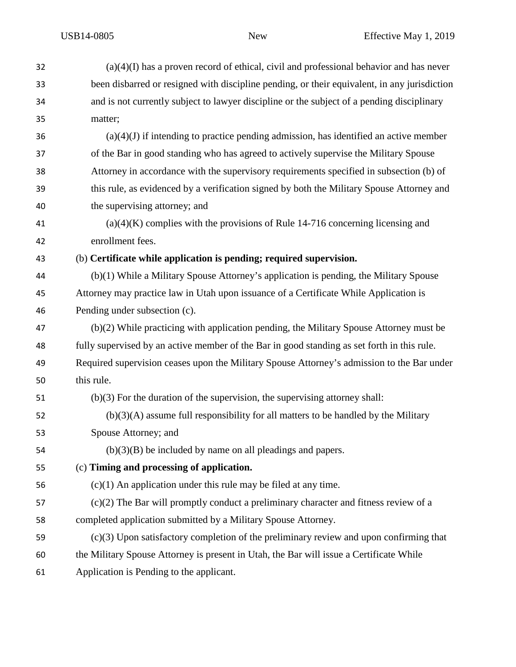| 32 | $(a)(4)(I)$ has a proven record of ethical, civil and professional behavior and has never    |
|----|----------------------------------------------------------------------------------------------|
| 33 | been disbarred or resigned with discipline pending, or their equivalent, in any jurisdiction |
| 34 | and is not currently subject to lawyer discipline or the subject of a pending disciplinary   |
| 35 | matter;                                                                                      |
| 36 | $(a)(4)(J)$ if intending to practice pending admission, has identified an active member      |
| 37 | of the Bar in good standing who has agreed to actively supervise the Military Spouse         |
| 38 | Attorney in accordance with the supervisory requirements specified in subsection (b) of      |
| 39 | this rule, as evidenced by a verification signed by both the Military Spouse Attorney and    |
| 40 | the supervising attorney; and                                                                |
| 41 | $(a)(4)(K)$ complies with the provisions of Rule 14-716 concerning licensing and             |
| 42 | enrollment fees.                                                                             |
| 43 | (b) Certificate while application is pending; required supervision.                          |
| 44 | $(b)(1)$ While a Military Spouse Attorney's application is pending, the Military Spouse      |
| 45 | Attorney may practice law in Utah upon issuance of a Certificate While Application is        |
| 46 | Pending under subsection (c).                                                                |
| 47 | (b)(2) While practicing with application pending, the Military Spouse Attorney must be       |
| 48 | fully supervised by an active member of the Bar in good standing as set forth in this rule.  |
| 49 | Required supervision ceases upon the Military Spouse Attorney's admission to the Bar under   |
| 50 | this rule.                                                                                   |
| 51 | $(b)(3)$ For the duration of the supervision, the supervising attorney shall:                |
| 52 | $(b)(3)(A)$ assume full responsibility for all matters to be handled by the Military         |
| 53 | Spouse Attorney; and                                                                         |
| 54 | $(b)(3)(B)$ be included by name on all pleadings and papers.                                 |
| 55 | (c) Timing and processing of application.                                                    |
| 56 | $(c)(1)$ An application under this rule may be filed at any time.                            |
| 57 | $(c)(2)$ The Bar will promptly conduct a preliminary character and fitness review of a       |
| 58 | completed application submitted by a Military Spouse Attorney.                               |
| 59 | $(c)(3)$ Upon satisfactory completion of the preliminary review and upon confirming that     |
| 60 | the Military Spouse Attorney is present in Utah, the Bar will issue a Certificate While      |
| 61 | Application is Pending to the applicant.                                                     |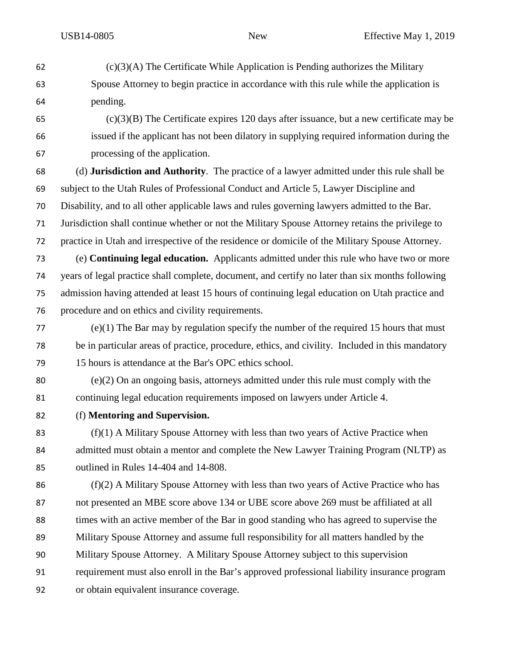$(c)(3)(A)$  The Certificate While Application is Pending authorizes the Military Spouse Attorney to begin practice in accordance with this rule while the application is pending. (c)(3)(B) The Certificate expires 120 days after issuance, but a new certificate may be issued if the applicant has not been dilatory in supplying required information during the processing of the application. (d) **Jurisdiction and Authority**. The practice of a lawyer admitted under this rule shall be subject to the Utah Rules of Professional Conduct and Article 5, Lawyer Discipline and Disability, and to all other applicable laws and rules governing lawyers admitted to the Bar. Jurisdiction shall continue whether or not the Military Spouse Attorney retains the privilege to practice in Utah and irrespective of the residence or domicile of the Military Spouse Attorney. (e) **Continuing legal education.** Applicants admitted under this rule who have two or more years of legal practice shall complete, document, and certify no later than six months following admission having attended at least 15 hours of continuing legal education on Utah practice and procedure and on ethics and civility requirements. (e)(1) The Bar may by regulation specify the number of the required 15 hours that must be in particular areas of practice, procedure, ethics, and civility. Included in this mandatory 15 hours is attendance at the Bar's OPC ethics school. (e)(2) On an ongoing basis, attorneys admitted under this rule must comply with the continuing legal education requirements imposed on lawyers under Article 4. (f) **Mentoring and Supervision.**  (f)(1) A Military Spouse Attorney with less than two years of Active Practice when 84 admitted must obtain a mentor and complete the New Lawyer Training Program (NLTP) as outlined in Rules 14-404 and 14-808. (f)(2) A Military Spouse Attorney with less than two years of Active Practice who has not presented an MBE score above 134 or UBE score above 269 must be affiliated at all times with an active member of the Bar in good standing who has agreed to supervise the Military Spouse Attorney and assume full responsibility for all matters handled by the Military Spouse Attorney. A Military Spouse Attorney subject to this supervision requirement must also enroll in the Bar's approved professional liability insurance program or obtain equivalent insurance coverage.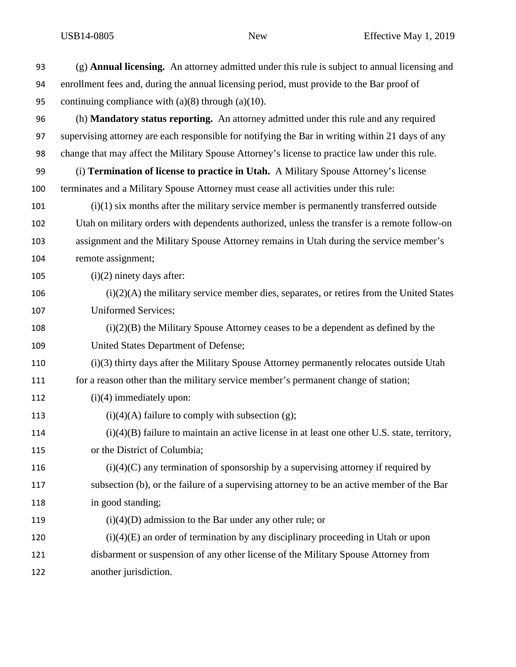| 93  | $(g)$ <b>Annual licensing.</b> An attorney admitted under this rule is subject to annual licensing and |
|-----|--------------------------------------------------------------------------------------------------------|
| 94  | enrollment fees and, during the annual licensing period, must provide to the Bar proof of              |
| 95  | continuing compliance with $(a)(8)$ through $(a)(10)$ .                                                |
| 96  | (h) <b>Mandatory status reporting.</b> An attorney admitted under this rule and any required           |
| 97  | supervising attorney are each responsible for notifying the Bar in writing within 21 days of any       |
| 98  | change that may affect the Military Spouse Attorney's license to practice law under this rule.         |
| 99  | (i) Termination of license to practice in Utah. A Military Spouse Attorney's license                   |
| 100 | terminates and a Military Spouse Attorney must cease all activities under this rule:                   |
| 101 | $(i)(1)$ six months after the military service member is permanently transferred outside               |
| 102 | Utah on military orders with dependents authorized, unless the transfer is a remote follow-on          |
| 103 | assignment and the Military Spouse Attorney remains in Utah during the service member's                |
| 104 | remote assignment;                                                                                     |
| 105 | $(i)(2)$ ninety days after:                                                                            |
| 106 | $(i)(2)(A)$ the military service member dies, separates, or retires from the United States             |
| 107 | <b>Uniformed Services;</b>                                                                             |
| 108 | $(i)(2)(B)$ the Military Spouse Attorney ceases to be a dependent as defined by the                    |
| 109 | United States Department of Defense;                                                                   |
| 110 | (i)(3) thirty days after the Military Spouse Attorney permanently relocates outside Utah               |
| 111 | for a reason other than the military service member's permanent change of station;                     |
| 112 | $(i)(4)$ immediately upon:                                                                             |
| 113 | $(i)(4)(A)$ failure to comply with subsection (g);                                                     |
| 114 | $(i)(4)(B)$ failure to maintain an active license in at least one other U.S. state, territory,         |
| 115 | or the District of Columbia;                                                                           |
| 116 | $(i)(4)(C)$ any termination of sponsorship by a supervising attorney if required by                    |
| 117 | subsection (b), or the failure of a supervising attorney to be an active member of the Bar             |
| 118 | in good standing;                                                                                      |
| 119 | $(i)(4)(D)$ admission to the Bar under any other rule; or                                              |
| 120 | $(i)(4)(E)$ an order of termination by any disciplinary proceeding in Utah or upon                     |
| 121 | disbarment or suspension of any other license of the Military Spouse Attorney from                     |
| 122 | another jurisdiction.                                                                                  |